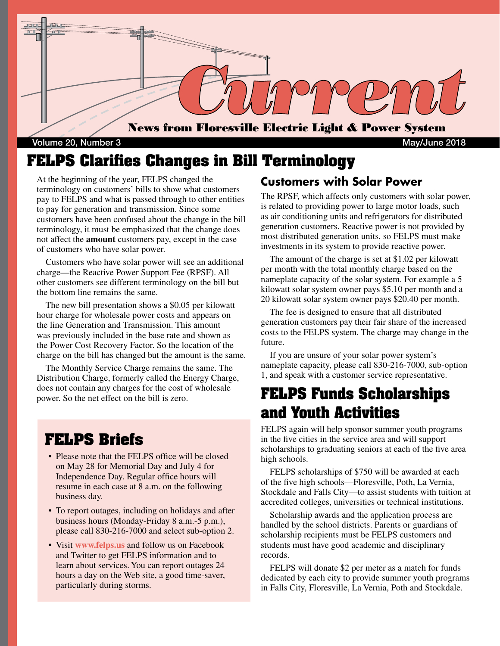

Volume 20, Number 3 May/June 2018

## **FELPS Clarifies Changes in Bill Terminology**

At the beginning of the year, FELPS changed the terminology on customers' bills to show what customers pay to FELPS and what is passed through to other entities to pay for generation and transmission. Since some customers have been confused about the change in the bill terminology, it must be emphasized that the change does not affect the **amount** customers pay, except in the case of customers who have solar power.

 Customers who have solar power will see an additional charge—the Reactive Power Support Fee (RPSF). All other customers see different terminology on the bill but the bottom line remains the same.

 The new bill presentation shows a \$0.05 per kilowatt hour charge for wholesale power costs and appears on the line Generation and Transmission. This amount was previously included in the base rate and shown as the Power Cost Recovery Factor. So the location of the charge on the bill has changed but the amount is the same.

 The Monthly Service Charge remains the same. The Distribution Charge, formerly called the Energy Charge, does not contain any charges for the cost of wholesale power. So the net effect on the bill is zero.

### **FELPS Briefs**

- Please note that the FELPS office will be closed on May 28 for Memorial Day and July 4 for Independence Day. Regular office hours will resume in each case at 8 a.m. on the following business day.
- To report outages, including on holidays and after business hours (Monday-Friday 8 a.m.-5 p.m.), please call 830-216-7000 and select sub-option 2.
- Visit **www.felps.us** and follow us on Facebook and Twitter to get FELPS information and to learn about services. You can report outages 24 hours a day on the Web site, a good time-saver, particularly during storms.

### **Customers with Solar Power**

The RPSF, which affects only customers with solar power, is related to providing power to large motor loads, such as air conditioning units and refrigerators for distributed generation customers. Reactive power is not provided by most distributed generation units, so FELPS must make investments in its system to provide reactive power.

 The amount of the charge is set at \$1.02 per kilowatt per month with the total monthly charge based on the nameplate capacity of the solar system. For example a 5 kilowatt solar system owner pays \$5.10 per month and a 20 kilowatt solar system owner pays \$20.40 per month.

 The fee is designed to ensure that all distributed generation customers pay their fair share of the increased costs to the FELPS system. The charge may change in the future.

 If you are unsure of your solar power system's nameplate capacity, please call 830-216-7000, sub-option 1, and speak with a customer service representative.

## **FELPS Funds Scholarships and Youth Activities**

FELPS again will help sponsor summer youth programs in the five cities in the service area and will support scholarships to graduating seniors at each of the five area high schools.

 FELPS scholarships of \$750 will be awarded at each of the five high schools—Floresville, Poth, La Vernia, Stockdale and Falls City—to assist students with tuition at accredited colleges, universities or technical institutions.

 Scholarship awards and the application process are handled by the school districts. Parents or guardians of scholarship recipients must be FELPS customers and students must have good academic and disciplinary records.

 FELPS will donate \$2 per meter as a match for funds dedicated by each city to provide summer youth programs in Falls City, Floresville, La Vernia, Poth and Stockdale.